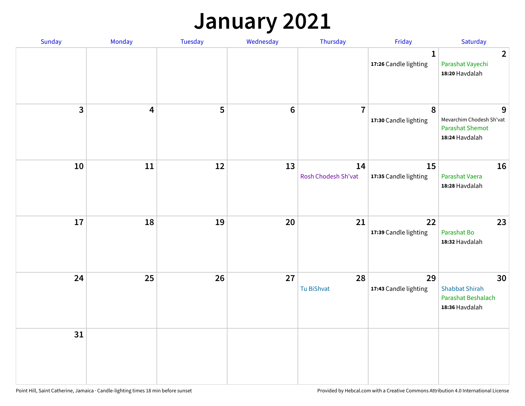### **January 2021**

| Sunday                  | Monday                  | <b>Tuesday</b> | Wednesday | Thursday                  | Friday                                | Saturday                                                                  |
|-------------------------|-------------------------|----------------|-----------|---------------------------|---------------------------------------|---------------------------------------------------------------------------|
|                         |                         |                |           |                           | $\mathbf{1}$<br>17:26 Candle lighting | $\overline{2}$<br>Parashat Vayechi<br>18:20 Havdalah                      |
| $\overline{\mathbf{3}}$ | $\overline{\mathbf{4}}$ | 5              | $\bf 6$   | $\overline{7}$            | 8<br>17:30 Candle lighting            | 9<br>Mevarchim Chodesh Sh'vat<br><b>Parashat Shemot</b><br>18:24 Havdalah |
| 10                      | 11                      | 12             | 13        | 14<br>Rosh Chodesh Sh'vat | 15<br>17:35 Candle lighting           | 16<br>Parashat Vaera<br>18:28 Havdalah                                    |
| 17                      | 18                      | 19             | 20        | 21                        | 22<br>17:39 Candle lighting           | 23<br>Parashat Bo<br>18:32 Havdalah                                       |
| 24                      | 25                      | 26             | 27        | 28<br>Tu BiShvat          | 29<br>17:43 Candle lighting           | 30<br><b>Shabbat Shirah</b><br>Parashat Beshalach<br>18:36 Havdalah       |
| 31                      |                         |                |           |                           |                                       |                                                                           |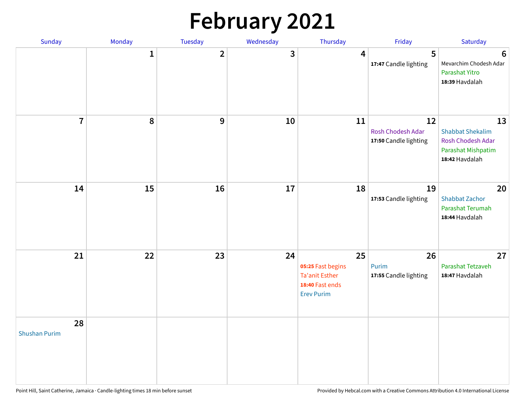# **February 2021**

| Sunday                     | Monday       | Tuesday        | Wednesday | Thursday                                                                          | Friday                                           | Saturday                                                                                   |
|----------------------------|--------------|----------------|-----------|-----------------------------------------------------------------------------------|--------------------------------------------------|--------------------------------------------------------------------------------------------|
|                            | $\mathbf{1}$ | $\overline{2}$ | 3         | 4                                                                                 | 5<br>17:47 Candle lighting                       | $6\phantom{1}6$<br>Mevarchim Chodesh Adar<br>Parashat Yitro<br>18:39 Havdalah              |
| $\overline{7}$             | ${\bf 8}$    | $\mathbf{9}$   | 10        | 11                                                                                | 12<br>Rosh Chodesh Adar<br>17:50 Candle lighting | 13<br><b>Shabbat Shekalim</b><br>Rosh Chodesh Adar<br>Parashat Mishpatim<br>18:42 Havdalah |
| 14                         | 15           | 16             | 17        | 18                                                                                | 19<br>17:53 Candle lighting                      | 20<br><b>Shabbat Zachor</b><br>Parashat Terumah<br>18:44 Havdalah                          |
| 21                         | 22           | 23             | 24        | 25<br>05:25 Fast begins<br>Ta'anit Esther<br>18:40 Fast ends<br><b>Erev Purim</b> | 26<br>Purim<br>17:55 Candle lighting             | 27<br>Parashat Tetzaveh<br>18:47 Havdalah                                                  |
| 28<br><b>Shushan Purim</b> |              |                |           |                                                                                   |                                                  |                                                                                            |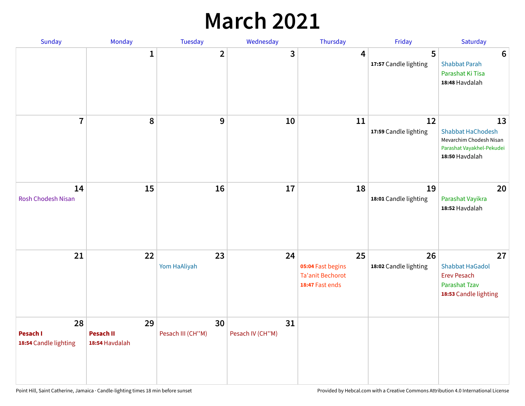### **March 2021**

| Sunday                                  | Monday                                   | Tuesday                 | Wednesday              | Thursday                                                              | Friday                      | Saturday                                                                                                 |
|-----------------------------------------|------------------------------------------|-------------------------|------------------------|-----------------------------------------------------------------------|-----------------------------|----------------------------------------------------------------------------------------------------------|
|                                         | $\mathbf 1$                              | $\overline{2}$          | 3                      | 4                                                                     | 5<br>17:57 Candle lighting  | $6\phantom{1}6$<br><b>Shabbat Parah</b><br>Parashat Ki Tisa<br>18:48 Havdalah                            |
| $\overline{7}$                          | 8                                        | 9                       | 10                     | 11                                                                    | 12<br>17:59 Candle lighting | 13<br><b>Shabbat HaChodesh</b><br>Mevarchim Chodesh Nisan<br>Parashat Vayakhel-Pekudei<br>18:50 Havdalah |
| 14<br><b>Rosh Chodesh Nisan</b>         | 15                                       | 16                      | 17                     | 18                                                                    | 19<br>18:01 Candle lighting | 20<br>Parashat Vayikra<br>18:52 Havdalah                                                                 |
| 21                                      | 22                                       | 23<br>Yom HaAliyah      | 24                     | 25<br>05:04 Fast begins<br><b>Ta'anit Bechorot</b><br>18:47 Fast ends | 26<br>18:02 Candle lighting | 27<br><b>Shabbat HaGadol</b><br><b>Erev Pesach</b><br><b>Parashat Tzav</b><br>18:53 Candle lighting      |
| 28<br>Pesach I<br>18:54 Candle lighting | 29<br><b>Pesach II</b><br>18:54 Havdalah | 30<br>Pesach III (CH"M) | 31<br>Pesach IV (CH"M) |                                                                       |                             |                                                                                                          |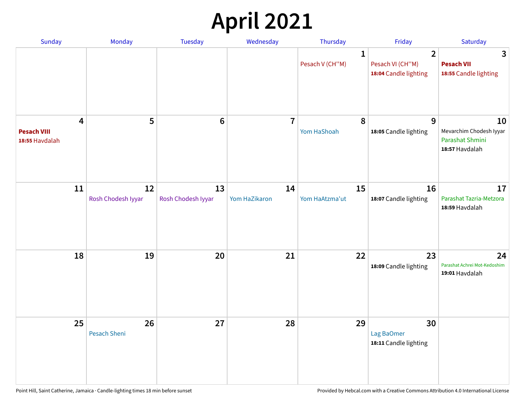# **April 2021**

| Sunday                                    | Monday                   | Tuesday                  | Wednesday           | Thursday                        | Friday                                                      | Saturday                                                           |
|-------------------------------------------|--------------------------|--------------------------|---------------------|---------------------------------|-------------------------------------------------------------|--------------------------------------------------------------------|
|                                           |                          |                          |                     | $\mathbf{1}$<br>Pesach V (CH"M) | $\overline{2}$<br>Pesach VI (CH"M)<br>18:04 Candle lighting | 3<br><b>Pesach VII</b><br>18:55 Candle lighting                    |
| 4<br><b>Pesach VIII</b><br>18:55 Havdalah | 5                        | $6\phantom{1}6$          | $\overline{7}$      | 8<br>Yom HaShoah                | 9<br>18:05 Candle lighting                                  | 10<br>Mevarchim Chodesh Iyyar<br>Parashat Shmini<br>18:57 Havdalah |
| 11                                        | 12<br>Rosh Chodesh Iyyar | 13<br>Rosh Chodesh Iyyar | 14<br>Yom HaZikaron | 15<br>Yom HaAtzma'ut            | 16<br>18:07 Candle lighting                                 | 17<br>Parashat Tazria-Metzora<br>18:59 Havdalah                    |
| 18                                        | 19                       | 20                       | 21                  | 22                              | 23<br>18:09 Candle lighting                                 | 24<br>Parashat Achrei Mot-Kedoshim<br>19:01 Havdalah               |
| 25                                        | 26<br>Pesach Sheni       | 27                       | 28                  | 29                              | 30<br>Lag BaOmer<br>18:11 Candle lighting                   |                                                                    |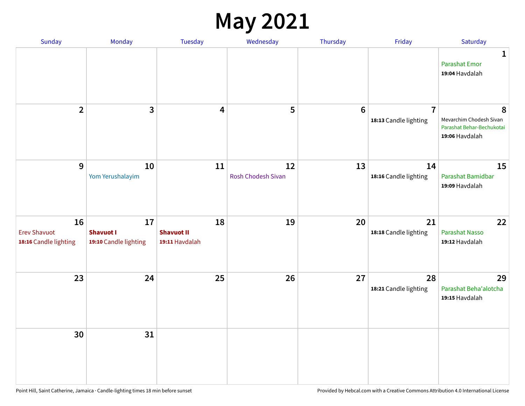#### **May 2021**

| Sunday                                             | Monday                                          | Tuesday                                   | Wednesday                       | Thursday        | Friday                                  | Saturday                                                                    |
|----------------------------------------------------|-------------------------------------------------|-------------------------------------------|---------------------------------|-----------------|-----------------------------------------|-----------------------------------------------------------------------------|
|                                                    |                                                 |                                           |                                 |                 |                                         | 1<br><b>Parashat Emor</b><br>19:04 Havdalah                                 |
| $\overline{2}$                                     | $\mathbf{3}$                                    | $\boldsymbol{4}$                          | 5                               | $6\phantom{1}6$ | $\overline{7}$<br>18:13 Candle lighting | 8<br>Mevarchim Chodesh Sivan<br>Parashat Behar-Bechukotai<br>19:06 Havdalah |
| 9                                                  | 10<br>Yom Yerushalayim                          | 11                                        | 12<br><b>Rosh Chodesh Sivan</b> | 13              | 14<br>18:16 Candle lighting             | 15<br>Parashat Bamidbar<br>19:09 Havdalah                                   |
| 16<br><b>Erev Shavuot</b><br>18:16 Candle lighting | 17<br><b>Shavuot I</b><br>19:10 Candle lighting | 18<br><b>Shavuot II</b><br>19:11 Havdalah | 19                              | 20              | 21<br>18:18 Candle lighting             | 22<br><b>Parashat Nasso</b><br>19:12 Havdalah                               |
| 23                                                 | 24                                              | 25                                        | 26                              | 27              | 28<br>18:21 Candle lighting             | 29<br>Parashat Beha'alotcha<br>19:15 Havdalah                               |
| 30                                                 | 31                                              |                                           |                                 |                 |                                         |                                                                             |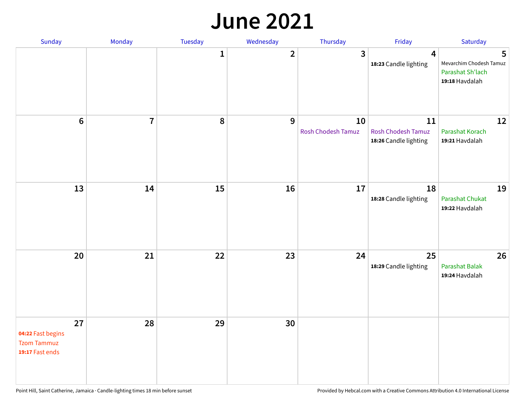#### **June 2021**

| Sunday                                                           | Monday                  | Tuesday      | Wednesday      | Thursday                 | Friday                                                   | Saturday                                                           |
|------------------------------------------------------------------|-------------------------|--------------|----------------|--------------------------|----------------------------------------------------------|--------------------------------------------------------------------|
|                                                                  |                         | $\mathbf{1}$ | $\overline{2}$ | $\mathbf{3}$             | $\overline{\mathbf{4}}$<br>18:23 Candle lighting         | 5<br>Mevarchim Chodesh Tamuz<br>Parashat Sh'lach<br>19:18 Havdalah |
| $\bf 6$                                                          | $\overline{\mathbf{7}}$ | 8            | 9              | 10<br>Rosh Chodesh Tamuz | 11<br><b>Rosh Chodesh Tamuz</b><br>18:26 Candle lighting | 12<br>Parashat Korach<br>19:21 Havdalah                            |
| 13                                                               | 14                      | 15           | 16             | 17                       | 18<br>18:28 Candle lighting                              | 19<br>Parashat Chukat<br>19:22 Havdalah                            |
| 20                                                               | 21                      | 22           | 23             | 24                       | 25<br>18:29 Candle lighting                              | 26<br><b>Parashat Balak</b><br>19:24 Havdalah                      |
| 27<br>04:22 Fast begins<br><b>Tzom Tammuz</b><br>19:17 Fast ends | 28                      | 29           | 30             |                          |                                                          |                                                                    |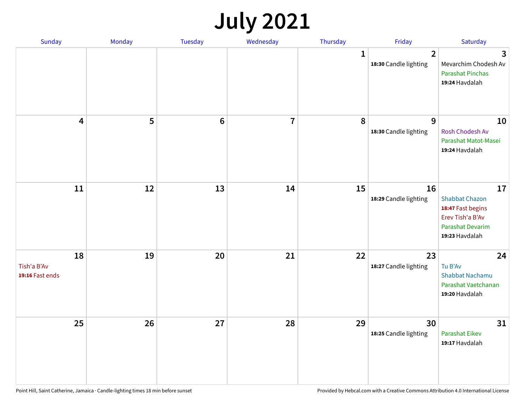# **July 2021**

| Sunday                               | Monday | Tuesday | Wednesday               | Thursday    | Friday                                  | Saturday                                                                                                          |
|--------------------------------------|--------|---------|-------------------------|-------------|-----------------------------------------|-------------------------------------------------------------------------------------------------------------------|
|                                      |        |         |                         | $\mathbf 1$ | $\overline{2}$<br>18:30 Candle lighting | 3<br>Mevarchim Chodesh Av<br><b>Parashat Pinchas</b><br>19:24 Havdalah                                            |
| 4                                    | 5      | $\bf 6$ | $\overline{\mathbf{7}}$ | 8           | 9<br>18:30 Candle lighting              | 10<br>Rosh Chodesh Av<br>Parashat Matot-Masei<br>19:24 Havdalah                                                   |
| 11                                   | 12     | 13      | 14                      | 15          | 16<br>18:29 Candle lighting             | 17<br><b>Shabbat Chazon</b><br>18:47 Fast begins<br>Erev Tish'a B'Av<br><b>Parashat Devarim</b><br>19:23 Havdalah |
| 18<br>Tish'a B'Av<br>19:16 Fast ends | 19     | 20      | 21                      | 22          | 23<br>18:27 Candle lighting             | 24<br>Tu B'Av<br>Shabbat Nachamu<br>Parashat Vaetchanan<br>19:20 Havdalah                                         |
| 25                                   | 26     | 27      | 28                      | 29          | 30<br>18:25 Candle lighting             | 31<br><b>Parashat Eikev</b><br>19:17 Havdalah                                                                     |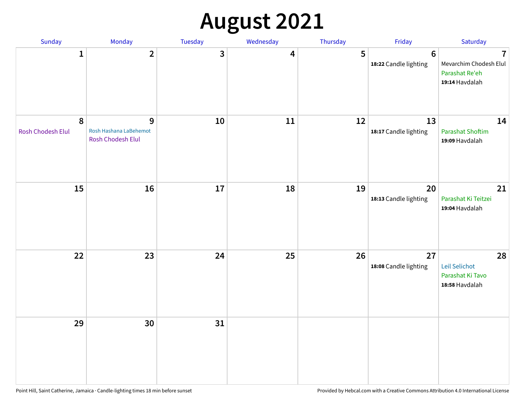# **August 2021**

| Sunday                         | Monday                                           | Tuesday | Wednesday | Thursday | Friday                           | Saturday                                                                     |
|--------------------------------|--------------------------------------------------|---------|-----------|----------|----------------------------------|------------------------------------------------------------------------------|
| $\mathbf{1}$                   | $\overline{2}$                                   | 3       | 4         | 5        | $\bf 6$<br>18:22 Candle lighting | $\overline{1}$<br>Mevarchim Chodesh Elul<br>Parashat Re'eh<br>19:14 Havdalah |
| $\pmb{8}$<br>Rosh Chodesh Elul | 9<br>Rosh Hashana LaBehemot<br>Rosh Chodesh Elul | $10\,$  | 11        | 12       | 13<br>18:17 Candle lighting      | 14<br><b>Parashat Shoftim</b><br>19:09 Havdalah                              |
| 15                             | 16                                               | 17      | 18        | 19       | 20<br>18:13 Candle lighting      | 21<br>Parashat Ki Teitzei<br>19:04 Havdalah                                  |
| 22                             | 23                                               | 24      | 25        | 26       | 27<br>18:08 Candle lighting      | 28<br>Leil Selichot<br>Parashat Ki Tavo<br>18:58 Havdalah                    |
| 29                             | 30                                               | 31      |           |          |                                  |                                                                              |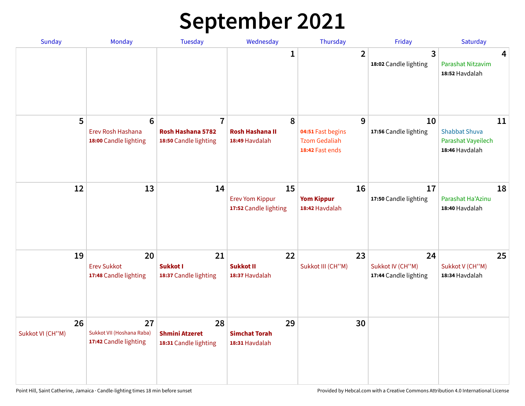# **September 2021**

| <b>Sunday</b>          | Monday                                                        | <b>Tuesday</b>                                               | Wednesday                                             | Thursday                                                          | Friday                                          | Saturday                                                           |
|------------------------|---------------------------------------------------------------|--------------------------------------------------------------|-------------------------------------------------------|-------------------------------------------------------------------|-------------------------------------------------|--------------------------------------------------------------------|
|                        |                                                               |                                                              | 1                                                     | $\overline{2}$                                                    | 3<br>18:02 Candle lighting                      | 4<br>Parashat Nitzavim<br>18:52 Havdalah                           |
| 5                      | $6\phantom{1}6$<br>Erev Rosh Hashana<br>18:00 Candle lighting | $\overline{7}$<br>Rosh Hashana 5782<br>18:50 Candle lighting | 8<br><b>Rosh Hashana II</b><br>18:49 Havdalah         | 9<br>04:51 Fast begins<br><b>Tzom Gedaliah</b><br>18:42 Fast ends | 10<br>17:56 Candle lighting                     | 11<br><b>Shabbat Shuva</b><br>Parashat Vayeilech<br>18:46 Havdalah |
| 12                     | 13                                                            | 14                                                           | 15<br><b>Erev Yom Kippur</b><br>17:52 Candle lighting | 16<br><b>Yom Kippur</b><br>18:42 Havdalah                         | 17<br>17:50 Candle lighting                     | 18<br>Parashat Ha'Azinu<br>18:40 Havdalah                          |
| 19                     | 20<br><b>Erev Sukkot</b><br>17:48 Candle lighting             | 21<br>Sukkot I<br>18:37 Candle lighting                      | 22<br><b>Sukkot II</b><br>18:37 Havdalah              | 23<br>Sukkot III (CH"M)                                           | 24<br>Sukkot IV (CH"M)<br>17:44 Candle lighting | 25<br>Sukkot V (CH"M)<br>18:34 Havdalah                            |
| 26<br>Sukkot VI (CH"M) | 27<br>Sukkot VII (Hoshana Raba)<br>17:42 Candle lighting      | 28<br><b>Shmini Atzeret</b><br>18:31 Candle lighting         | 29<br><b>Simchat Torah</b><br>18:31 Havdalah          | 30                                                                |                                                 |                                                                    |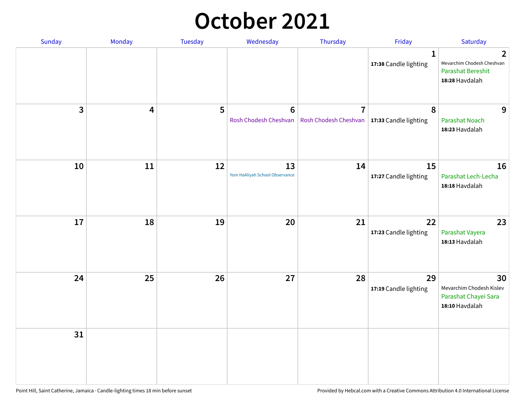### **October 2021**

| Sunday       | Monday | Tuesday | Wednesday                               | Thursday                                                        | Friday                                | Saturday                                                                                   |
|--------------|--------|---------|-----------------------------------------|-----------------------------------------------------------------|---------------------------------------|--------------------------------------------------------------------------------------------|
|              |        |         |                                         |                                                                 | $\mathbf{1}$<br>17:38 Candle lighting | $\overline{2}$<br>Mevarchim Chodesh Cheshvan<br><b>Parashat Bereshit</b><br>18:28 Havdalah |
| $\mathbf{3}$ | 4      | 5       | $6\phantom{1}$<br>Rosh Chodesh Cheshvan | $\overline{7}$<br>Rosh Chodesh Cheshvan   17:33 Candle lighting | 8                                     | 9<br><b>Parashat Noach</b><br>18:23 Havdalah                                               |
| 10           | 11     | 12      | 13<br>Yom HaAliyah School Observance    | 14                                                              | 15<br>17:27 Candle lighting           | 16<br>Parashat Lech-Lecha<br>18:18 Havdalah                                                |
| 17           | 18     | 19      | 20                                      | 21                                                              | 22<br>17:23 Candle lighting           | 23<br>Parashat Vayera<br>18:13 Havdalah                                                    |
| 24           | 25     | 26      | 27                                      | 28                                                              | 29<br>17:19 Candle lighting           | 30<br>Mevarchim Chodesh Kislev<br>Parashat Chayei Sara<br>18:10 Havdalah                   |
| 31           |        |         |                                         |                                                                 |                                       |                                                                                            |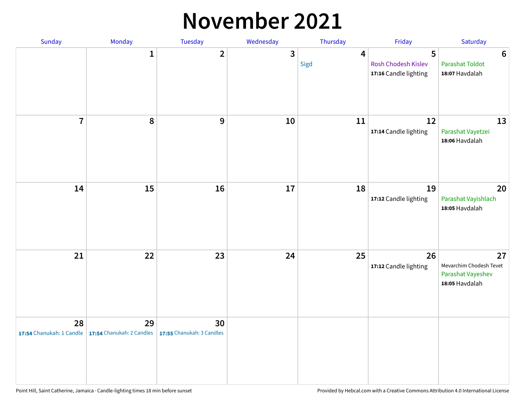#### **November 2021**

| Sunday         | Monday                                                   | Tuesday                         | Wednesday    | Thursday               | Friday                                            | Saturday                                                             |
|----------------|----------------------------------------------------------|---------------------------------|--------------|------------------------|---------------------------------------------------|----------------------------------------------------------------------|
|                | $\mathbf 1$                                              | $\overline{2}$                  | $\mathbf{3}$ | $\overline{4}$<br>Sigd | 5<br>Rosh Chodesh Kislev<br>17:16 Candle lighting | $\boldsymbol{6}$<br>Parashat Toldot<br>18:07 Havdalah                |
| $\overline{7}$ | 8                                                        | 9                               | 10           | 11                     | 12<br>17:14 Candle lighting                       | 13<br>Parashat Vayetzei<br>18:06 Havdalah                            |
| 14             | 15                                                       | 16                              | $17\,$       | 18                     | 19<br>17:12 Candle lighting                       | 20<br>Parashat Vayishlach<br>18:05 Havdalah                          |
| 21             | 22                                                       | 23                              | 24           | 25                     | 26<br>17:12 Candle lighting                       | 27<br>Mevarchim Chodesh Tevet<br>Parashat Vayeshev<br>18:05 Havdalah |
| 28             | 29<br>17:54 Chanukah: 1 Candle 17:54 Chanukah: 2 Candles | 30<br>17:55 Chanukah: 3 Candles |              |                        |                                                   |                                                                      |